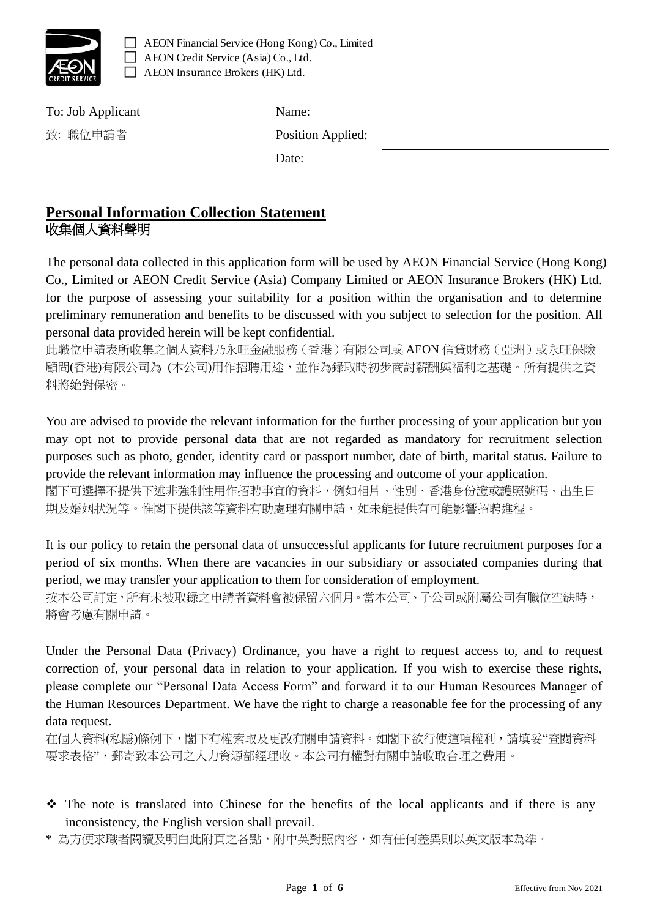

AEON Financial Service (Hong Kong) Co., Limited AEON Credit Service (Asia) Co., Ltd. AEON Insurance Brokers (HK) Ltd.

| Name:             |  |
|-------------------|--|
| Position Applied: |  |
| Date:             |  |
|                   |  |

#### **Personal Information Collection Statement** 收集個人資料聲明

The personal data collected in this application form will be used by AEON Financial Service (Hong Kong) Co., Limited or AEON Credit Service (Asia) Company Limited or AEON Insurance Brokers (HK) Ltd. for the purpose of assessing your suitability for a position within the organisation and to determine preliminary remuneration and benefits to be discussed with you subject to selection for the position. All personal data provided herein will be kept confidential.

此職位申請表所收集之個人資料乃永旺金融服務(香港)有限公司或 AEON 信貸財務(亞洲)或永旺保險 顧問(香港)有限公司為 (本公司)用作招聘用途,並作為録取時初步商討薪酬與福利之基礎。所有提供之資 料將絶對保密。

You are advised to provide the relevant information for the further processing of your application but you may opt not to provide personal data that are not regarded as mandatory for recruitment selection purposes such as photo, gender, identity card or passport number, date of birth, marital status. Failure to provide the relevant information may influence the processing and outcome of your application. 閣下可選擇不提供下述非強制性用作招聘事宜的資料,例如相片、性別、香港身份證或護照號碼、出生日

期及婚姻狀況等。惟閣下提供該等資料有助處理有關申請,如未能提供有可能影響招聘進程。

It is our policy to retain the personal data of unsuccessful applicants for future recruitment purposes for a period of six months. When there are vacancies in our subsidiary or associated companies during that period, we may transfer your application to them for consideration of employment.

按本公司訂定,所有未被取録之申請者資料會被保留六個月。當本公司、子公司或附屬公司有職位空缺時, 將會考慮有關申請。

Under the Personal Data (Privacy) Ordinance, you have a right to request access to, and to request correction of, your personal data in relation to your application. If you wish to exercise these rights, please complete our "Personal Data Access Form" and forward it to our Human Resources Manager of the Human Resources Department. We have the right to charge a reasonable fee for the processing of any data request.

在個人資料(私隠)條例下,閣下有權索取及更改有關申請資料。如閣下欲行使這項權利,請填妥"查閱資料 要求表格",郵寄致本公司之人力資源部經理收。本公司有權對有關申請收取合理之費用。

- ❖ The note is translated into Chinese for the benefits of the local applicants and if there is any inconsistency, the English version shall prevail.
- \* 為方便求職者閱讀及明白此附頁之各點,附中英對照內容,如有任何差異則以英文版本為準。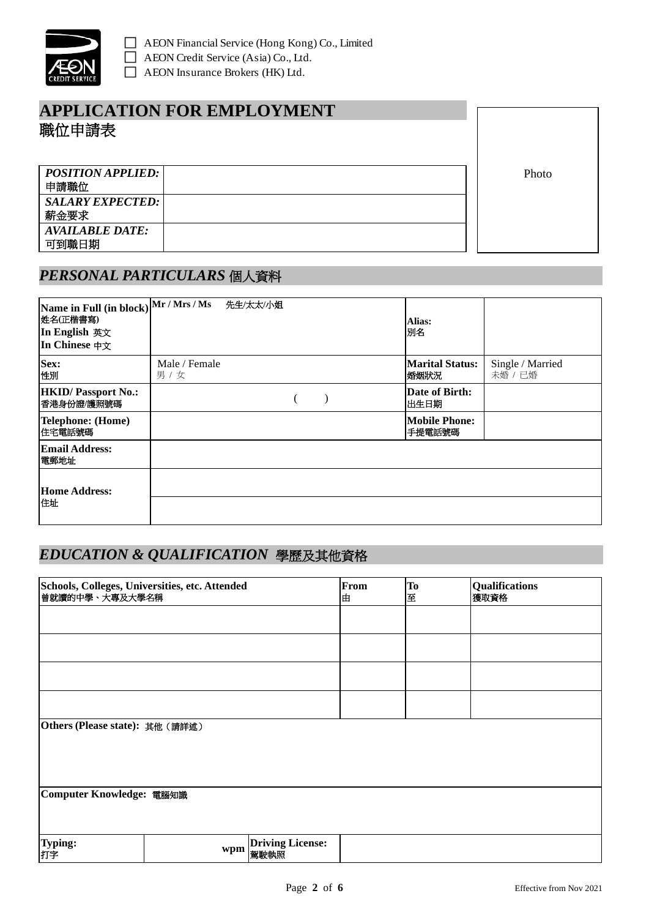

## **APPLICATION FOR EMPLOYMENT**  職位申請表

*POSITION APPLIED:* 申請職位 *SALARY EXPECTED:* 薪金要求 *AVAILABLE DATE:* 可到職日期

Photo

#### *PERSONAL PARTICULARS* 個人資料

| Name in Full (in block) Mr / Mrs / Ms<br>姓名(正楷書寫)<br>In English 英文<br>In Chinese 中文 | 先生/太太/小姐               | Alias:<br>別名                    |                             |
|-------------------------------------------------------------------------------------|------------------------|---------------------------------|-----------------------------|
| Sex:<br>性別                                                                          | Male / Female<br>男 / 女 | <b>Marital Status:</b><br> 婚姻狀況 | Single / Married<br>未婚 / 已婚 |
| <b>HKID/ Passport No.:</b><br>香港身份證/護照號碼                                            |                        | Date of Birth:<br>出生日期          |                             |
| Telephone: (Home)<br>住宅電話號碼                                                         |                        | <b>Mobile Phone:</b><br>手提電話號碼  |                             |
| Email Address:<br>電郵地址                                                              |                        |                                 |                             |
| Home Address:<br>住址                                                                 |                        |                                 |                             |

### *EDUCATION & QUALIFICATION* 學歷及其他資格

| Schools, Colleges, Universities, etc. Attended<br>曾就讀的中學、大專及大學名稱 |     |                                 | From<br>由 | To<br>至 | <b>Qualifications</b><br>獲取資格 |
|------------------------------------------------------------------|-----|---------------------------------|-----------|---------|-------------------------------|
|                                                                  |     |                                 |           |         |                               |
|                                                                  |     |                                 |           |         |                               |
|                                                                  |     |                                 |           |         |                               |
|                                                                  |     |                                 |           |         |                               |
| Others (Please state): 其他 (請詳述)                                  |     |                                 |           |         |                               |
|                                                                  |     |                                 |           |         |                               |
| Computer Knowledge: 電腦知識                                         |     |                                 |           |         |                               |
|                                                                  |     |                                 |           |         |                               |
| Typing:<br>打字                                                    | wpm | <b>Driving License:</b><br>駕駛執照 |           |         |                               |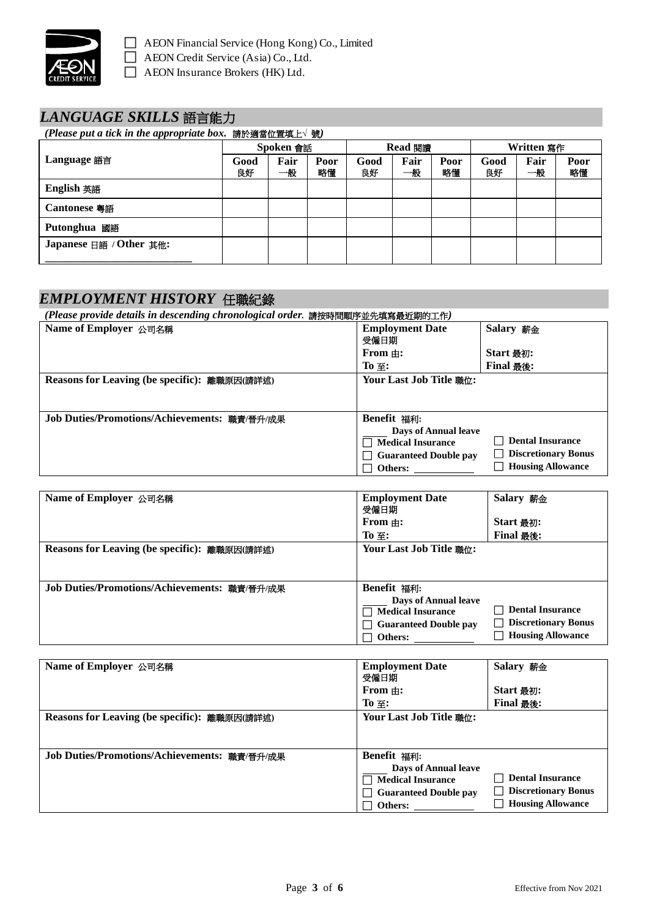

### *LANGUAGE SKILLS* 語言能力

| (Please put a tick in the appropriate box. 請於適當位置填上 $\vee$ 號) |            |            |            |            |            |            |            |            |            |
|---------------------------------------------------------------|------------|------------|------------|------------|------------|------------|------------|------------|------------|
|                                                               |            | Spoken 會話  |            | Read 閱讀    |            | Written 寫作 |            |            |            |
| Language 語言                                                   | Good<br>良好 | Fair<br>一般 | Poor<br>略懂 | Good<br>良好 | Fair<br>一般 | Poor<br>略懂 | Good<br>良好 | Fair<br>一般 | Poor<br>略懂 |
| English 英語                                                    |            |            |            |            |            |            |            |            |            |
| <b>Cantonese 粵語</b>                                           |            |            |            |            |            |            |            |            |            |
| <b>Putonghua</b> 國語                                           |            |            |            |            |            |            |            |            |            |
| Japanese 日語 / Other 其他:                                       |            |            |            |            |            |            |            |            |            |
|                                                               |            |            |            |            |            |            |            |            |            |

### *EMPLOYMENT HISTORY* 任職紀錄

| (Please provide details in descending chronological order. 請按時間順序並先填寫最近期的工作) |                                                                                                                   |                                                                                   |
|------------------------------------------------------------------------------|-------------------------------------------------------------------------------------------------------------------|-----------------------------------------------------------------------------------|
| Name of Employer 公司名稱                                                        | <b>Employment Date</b><br>受僱日期                                                                                    | Salary 薪金                                                                         |
|                                                                              | From $\pm$ :                                                                                                      | Start 最初:                                                                         |
|                                                                              | To $\Xi$ :                                                                                                        | <b>Final 最後:</b>                                                                  |
| Reasons for Leaving (be specific): 離職原因(請詳述)                                 | Your Last Job Title 職位:                                                                                           |                                                                                   |
| Job Duties/Promotions/Achievements: 職責/晉升/成果                                 | Benefit 福利:<br><b>Days of Annual leave</b><br><b>Medical Insurance</b><br><b>Guaranteed Double pay</b><br>Others: | <b>Dental Insurance</b><br><b>Discretionary Bonus</b><br><b>Housing Allowance</b> |

| Name of Employer 公司名稱                        | <b>Employment Date</b><br>受僱日期                                                                                    | Salary 薪金                                                                    |
|----------------------------------------------|-------------------------------------------------------------------------------------------------------------------|------------------------------------------------------------------------------|
|                                              | From $\#$ :                                                                                                       | Start 最初:                                                                    |
|                                              | $To \equiv$ :                                                                                                     | <b>Final 最後:</b>                                                             |
| Reasons for Leaving (be specific): 離職原因(請詳述) | Your Last Job Title 職位:                                                                                           |                                                                              |
| Job Duties/Promotions/Achievements: 職責/晉升/成果 | <b>Benefit 福利:</b><br>Days of Annual leave<br><b>Medical Insurance</b><br><b>Guaranteed Double pay</b><br>Others: | <b>Dental Insurance</b><br>□ Discretionary Bonus<br><b>Housing Allowance</b> |

| Name of Employer 公司名稱                        | <b>Employment Date</b><br>受僱日期<br>From $\#$ :<br>$To \equiv$ :                                                           | Salary 薪金<br>Start 最初:<br><b>Final 最後:</b>                                        |
|----------------------------------------------|--------------------------------------------------------------------------------------------------------------------------|-----------------------------------------------------------------------------------|
| Reasons for Leaving (be specific): 離職原因(請詳述) | Your Last Job Title 職位:                                                                                                  |                                                                                   |
| Job Duties/Promotions/Achievements: 職責/晉升/成果 | <b>Benefit 福利:</b><br><b>Days of Annual leave</b><br><b>Medical Insurance</b><br><b>Guaranteed Double pay</b><br>Others: | <b>Dental Insurance</b><br><b>Discretionary Bonus</b><br><b>Housing Allowance</b> |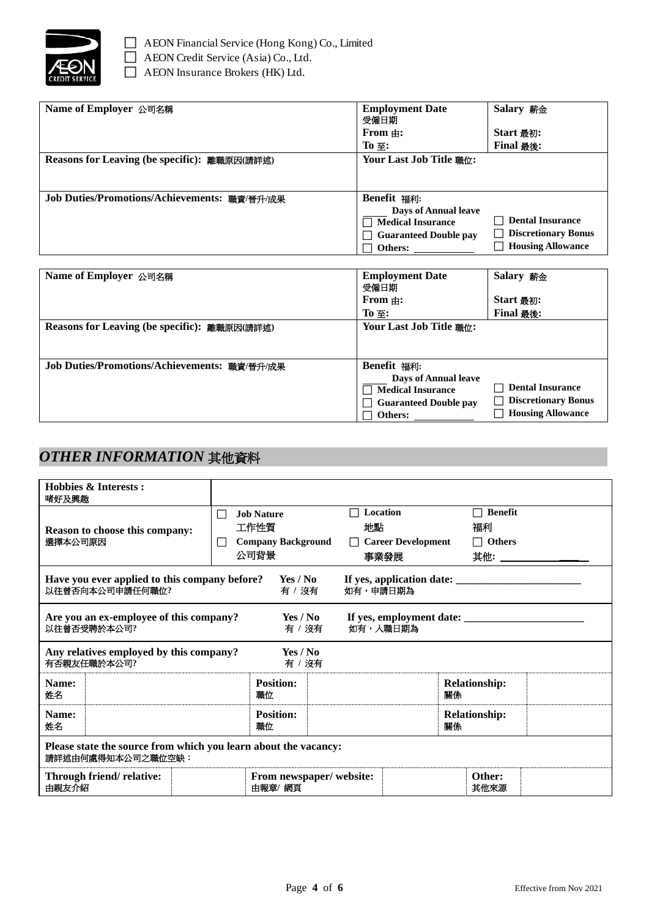

| Name of Employer 公司名稱                        | <b>Employment Date</b><br>受僱日期<br>From $\pm$ :<br>To $\Xi$ :                                                             | Salary 薪金<br>Start 最初:<br><b>Final 最後:</b>                                                        |
|----------------------------------------------|--------------------------------------------------------------------------------------------------------------------------|---------------------------------------------------------------------------------------------------|
| Reasons for Leaving (be specific): 離職原因(請詳述) | Your Last Job Title 職位:                                                                                                  |                                                                                                   |
| Job Duties/Promotions/Achievements: 職責/晉升/成果 | <b>Benefit 福利:</b><br><b>Days of Annual leave</b><br><b>Medical Insurance</b><br><b>Guaranteed Double pay</b><br>Others: | <b>Dental Insurance</b><br><b>Discretionary Bonus</b><br>$\mathsf{L}$<br><b>Housing Allowance</b> |

| Name of Employer 公司名稱                        | <b>Employment Date</b><br>受僱日期                                                                                    | Salary 薪金                                                                                           |
|----------------------------------------------|-------------------------------------------------------------------------------------------------------------------|-----------------------------------------------------------------------------------------------------|
|                                              | From $\pm$ :                                                                                                      | Start 最初:                                                                                           |
|                                              | $To \equiv$ :                                                                                                     | <b>Final 最後:</b>                                                                                    |
| Reasons for Leaving (be specific): 離職原因(請詳述) | Your Last Job Title 職位:                                                                                           |                                                                                                     |
| Job Duties/Promotions/Achievements: 職責/晉升/成果 | Benefit 福利:<br><b>Days of Annual leave</b><br><b>Medical Insurance</b><br><b>Guaranteed Double pay</b><br>Others: | <b>Dental Insurance</b><br><b>Discretionary Bonus</b><br>$\blacksquare$<br><b>Housing Allowance</b> |

### *OTHER INFORMATION* 其他資料

| Hobbies & Interests:<br>啫好及興趣                                                          |                                                |                                                |                                                     |    |                                       |                        |
|----------------------------------------------------------------------------------------|------------------------------------------------|------------------------------------------------|-----------------------------------------------------|----|---------------------------------------|------------------------|
| Reason to choose this company:<br>選擇本公司原因                                              | $\mathsf{L}$<br>工作性質<br>$\blacksquare$<br>公司背景 | <b>Job Nature</b><br><b>Company Background</b> | Location<br>地點<br>$\Box$ Career Development<br>事業發展 |    | <b>Benefit</b><br>福利<br>$\Box$ Others | 其他: __________________ |
| Have you ever applied to this company before?<br>以往曾否向本公司申請任何職位?                       |                                                | Yes / No<br>有/沒有                               | 如有,申請日期為                                            |    |                                       |                        |
| Are you an ex-employee of this company?<br>Yes / No<br>以往曾否受聘於本公司?<br>如有,入職日期為<br>有/沒有 |                                                |                                                |                                                     |    |                                       |                        |
| Any relatives employed by this company?<br>有否親友任職於本公司?                                 |                                                | Yes / No<br>有 / 沒有                             |                                                     |    |                                       |                        |
| Name:<br>姓名                                                                            |                                                | <b>Position:</b><br>職位                         |                                                     | 關係 | <b>Relationship:</b>                  |                        |
| Name:<br>姓名                                                                            |                                                | <b>Position:</b><br>職位                         |                                                     | 關係 | <b>Relationship:</b>                  |                        |
| Please state the source from which you learn about the vacancy:<br>請詳述由何處得知本公司之職位空缺:   |                                                |                                                |                                                     |    |                                       |                        |
| Through friend/relative:<br>由親友介紹                                                      |                                                | From newspaper/website:<br>由報章/ 網頁             |                                                     |    | Other:<br>其他來源                        |                        |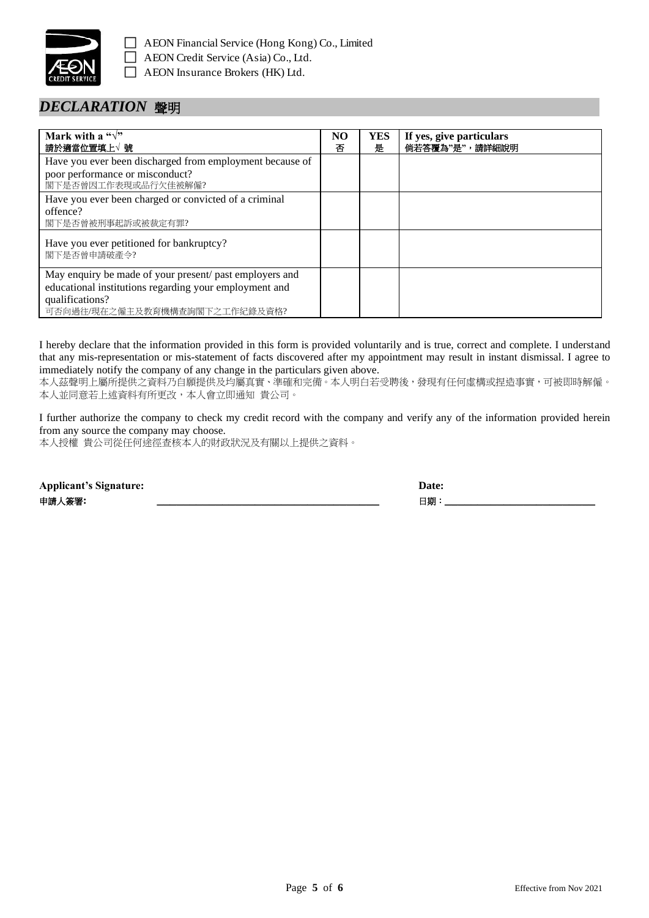

#### *DECLARATION* 聲明

| Mark with a " $\sqrt{ }$ "<br>請於適當位置填上√ 號                                                                                                                             | NO<br>ᅎ | <b>YES</b><br>是 | If yes, give particulars<br>倘若答覆為"是",請詳細說明 |
|-----------------------------------------------------------------------------------------------------------------------------------------------------------------------|---------|-----------------|--------------------------------------------|
| Have you ever been discharged from employment because of<br>poor performance or misconduct?<br>閣下是否曾因工作表現或品行欠佳被解僱?                                                    |         |                 |                                            |
| Have you ever been charged or convicted of a criminal<br>offence?<br>閣下是否曾被刑事起訴或被裁定有罪?                                                                                |         |                 |                                            |
| Have you ever petitioned for bankruptcy?<br>閣下是否曾申請破產令?                                                                                                               |         |                 |                                            |
| May enquiry be made of your present/ past employers and<br>educational institutions regarding your employment and<br>qualifications?<br>可否向過往/現在之僱主及教育機構查詢閣下之工作紀錄及資格? |         |                 |                                            |

I hereby declare that the information provided in this form is provided voluntarily and is true, correct and complete. I understand that any mis-representation or mis-statement of facts discovered after my appointment may result in instant dismissal. I agree to immediately notify the company of any change in the particulars given above.

本人茲聲明上屬所提供之資料乃自願提供及均屬真實、準確和完備。本人明白若受聘後,發現有任何虛構或捏造事實,可被即時解僱。 本人並同意若上述資料有所更改,本人會立即通知 貴公司。

I further authorize the company to check my credit record with the company and verify any of the information provided herein from any source the company may choose.

本人授權 貴公司從任何途徑查核本人的財政狀況及有關以上提供之資料。

| <b>Applicant's Signature:</b> | Date: |
|-------------------------------|-------|
| 申請人簽署:                        | 日期    |